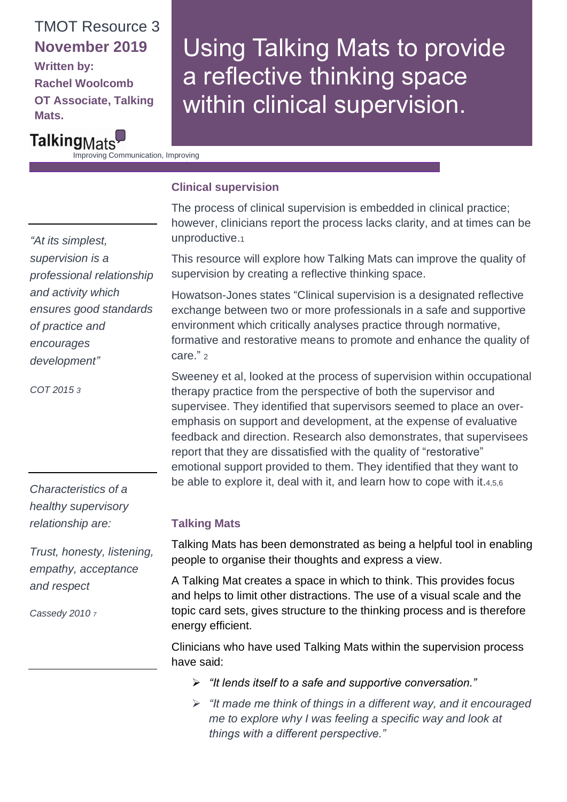## TMOT Resource 3 **November 2019**

**Written by: Rachel Woolcomb OT Associate, Talking Mats.**

# Using Talking Mats to provide a reflective thinking space within clinical supervision.

TalkingMats Improving Communication, Improving

### **Clinical supervision**

Lives

The process of clinical supervision is embedded in clinical practice; however, clinicians report the process lacks clarity, and at times can be unproductive.<sup>1</sup>

This resource will explore how Talking Mats can improve the quality of supervision by creating a reflective thinking space.

Howatson-Jones states "Clinical supervision is a designated reflective exchange between two or more professionals in a safe and supportive environment which critically analyses practice through normative, formative and restorative means to promote and enhance the quality of care." 2

Sweeney et al, looked at the process of supervision within occupational therapy practice from the perspective of both the supervisor and supervisee. They identified that supervisors seemed to place an overemphasis on support and development, at the expense of evaluative feedback and direction. Research also demonstrates, that supervisees report that they are dissatisfied with the quality of "restorative" emotional support provided to them. They identified that they want to be able to explore it, deal with it, and learn how to cope with it.4,5,6

#### **Talking Mats**

Talking Mats has been demonstrated as being a helpful tool in enabling people to organise their thoughts and express a view.

A Talking Mat creates a space in which to think. This provides focus and helps to limit other distractions. The use of a visual scale and the topic card sets, gives structure to the thinking process and is therefore energy efficient.

Clinicians who have used Talking Mats within the supervision process have said:

- ➢ *"It lends itself to a safe and supportive conversation."*
- ➢ *"It made me think of things in a different way, and it encouraged me to explore why I was feeling a specific way and look at things with a different perspective."*

*"At its simplest, supervision is a professional relationship and activity which ensures good standards of practice and encourages development"*

*COT 2015 3*

*Characteristics of a healthy supervisory relationship are:*

*Trust, honesty, listening, empathy, acceptance and respect*

*Cassedy 2010 <sup>7</sup>*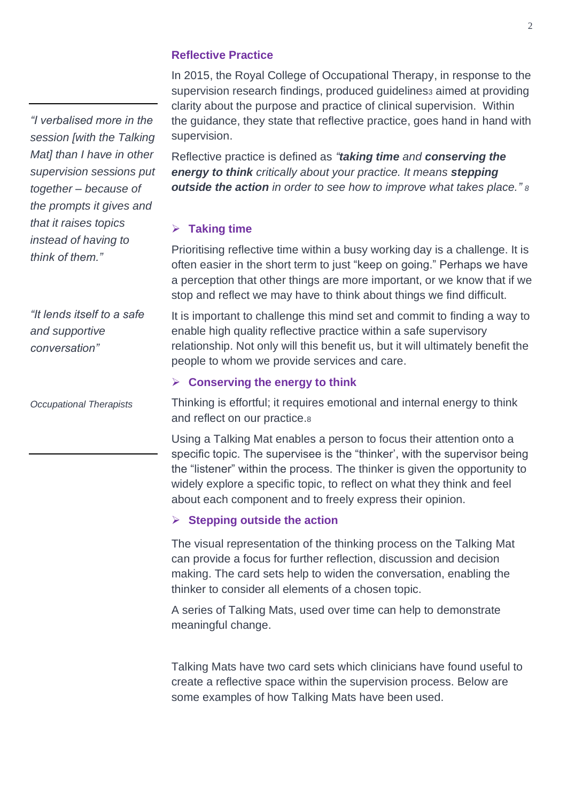*"I verbalised more in the session [with the Talking Mat] than I have in other supervision sessions put together – because of the prompts it gives and that it raises topics instead of having to think of them."*

*"It lends itself to a safe and supportive conversation"*

*Occupational Therapists*

#### **Reflective Practice**

In 2015, the Royal College of Occupational Therapy, in response to the supervision research findings, produced guidelines<sub>3</sub> aimed at providing clarity about the purpose and practice of clinical supervision. Within the guidance, they state that reflective practice, goes hand in hand with supervision.

Reflective practice is defined as *"taking time and conserving the energy to think critically about your practice. It means stepping outside the action in order to see how to improve what takes place." <sup>8</sup>*

#### ➢ **Taking time**

Prioritising reflective time within a busy working day is a challenge. It is often easier in the short term to just "keep on going." Perhaps we have a perception that other things are more important, or we know that if we stop and reflect we may have to think about things we find difficult.

It is important to challenge this mind set and commit to finding a way to enable high quality reflective practice within a safe supervisory relationship. Not only will this benefit us, but it will ultimately benefit the people to whom we provide services and care.

#### ➢ **Conserving the energy to think**

Thinking is effortful; it requires emotional and internal energy to think and reflect on our practice.<sup>8</sup>

Using a Talking Mat enables a person to focus their attention onto a specific topic. The supervisee is the "thinker', with the supervisor being the "listener" within the process. The thinker is given the opportunity to widely explore a specific topic, to reflect on what they think and feel about each component and to freely express their opinion.

#### ➢ **Stepping outside the action**

The visual representation of the thinking process on the Talking Mat can provide a focus for further reflection, discussion and decision making. The card sets help to widen the conversation, enabling the thinker to consider all elements of a chosen topic.

A series of Talking Mats, used over time can help to demonstrate meaningful change.

Talking Mats have two card sets which clinicians have found useful to create a reflective space within the supervision process. Below are some examples of how Talking Mats have been used.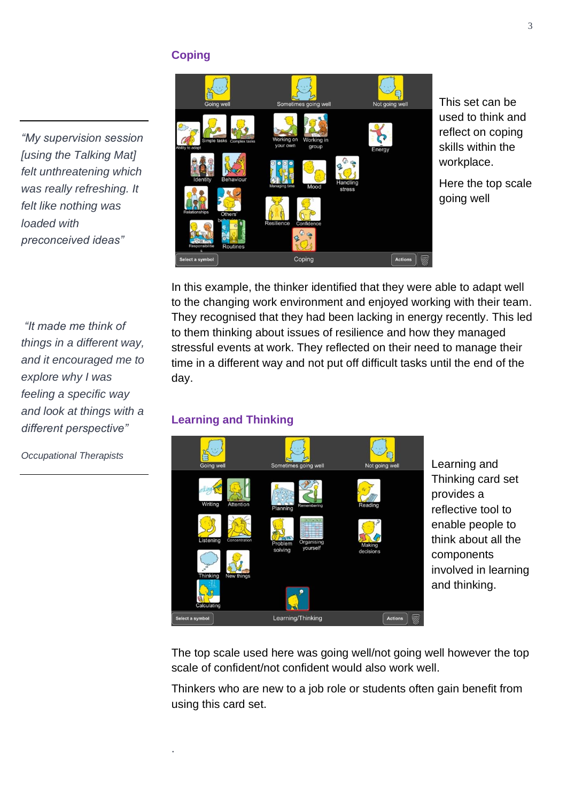#### **Coping**

*"My supervision session [using the Talking Mat] felt unthreatening which was really refreshing. It felt like nothing was loaded with preconceived ideas"* 

*"It made me think of things in a different way, and it encouraged me to explore why I was feeling a specific way and look at things with a different perspective"*

Coping

This set can be used to think and reflect on coping skills within the workplace.

Here the top scale going well

In this example, the thinker identified that they were able to adapt well to the changing work environment and enjoyed working with their team. They recognised that they had been lacking in energy recently. This led to them thinking about issues of resilience and how they managed stressful events at work. They reflected on their need to manage their time in a different way and not put off difficult tasks until the end of the day.

#### **Learning and Thinking**

.



Learning and Thinking card set provides a reflective tool to enable people to think about all the components involved in learning and thinking.

The top scale used here was going well/not going well however the top scale of confident/not confident would also work well.

Thinkers who are new to a job role or students often gain benefit from using this card set.

*Occupational Therapists*